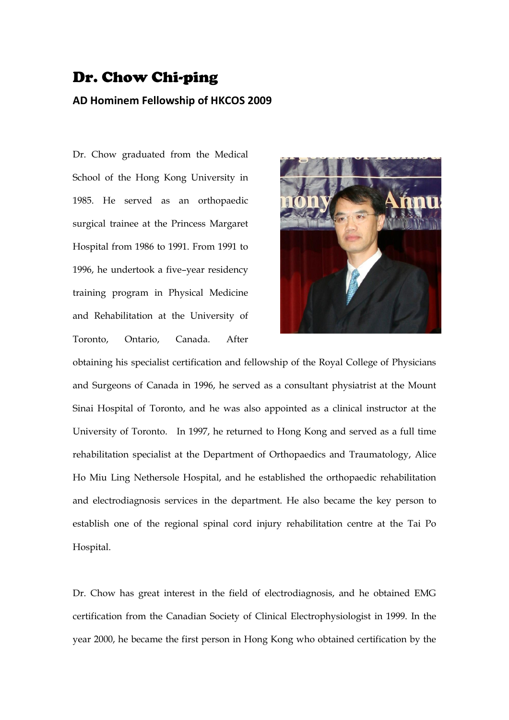## Dr. Chow Chi-ping

## **AD Hominem Fellowship of HKCOS 2009**

Dr. Chow graduated from the Medical School of the Hong Kong University in 1985. He served as an orthopaedic surgical trainee at the Princess Margaret Hospital from 1986 to 1991. From 1991 to 1996, he undertook a five–year residency training program in Physical Medicine and Rehabilitation at the University of Toronto, Ontario, Canada. After



obtaining his specialist certification and fellowship of the Royal College of Physicians and Surgeons of Canada in 1996, he served as a consultant physiatrist at the Mount Sinai Hospital of Toronto, and he was also appointed as a clinical instructor at the University of Toronto. In 1997, he returned to Hong Kong and served as a full time rehabilitation specialist at the Department of Orthopaedics and Traumatology, Alice Ho Miu Ling Nethersole Hospital, and he established the orthopaedic rehabilitation and electrodiagnosis services in the department. He also became the key person to establish one of the regional spinal cord injury rehabilitation centre at the Tai Po Hospital.

Dr. Chow has great interest in the field of electrodiagnosis, and he obtained EMG certification from the Canadian Society of Clinical Electrophysiologist in 1999. In the year 2000, he became the first person in Hong Kong who obtained certification by the